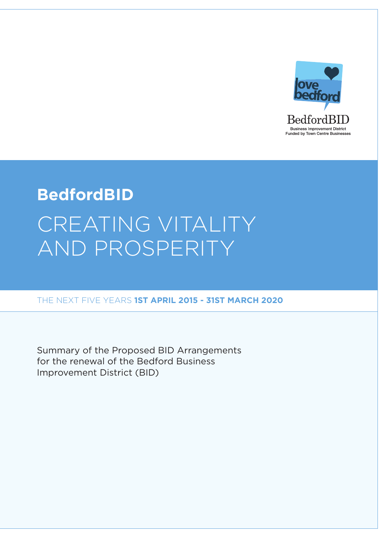

# **BedfordBID** CREATING VITALITY AND PROSPERITY

THE NEXT FIVE YEARS 1ST APRIL 2015 - 31ST MARCH 2020

Summary of the Proposed BID Arrangements for the renewal of the Bedford Business Improvement District (BID)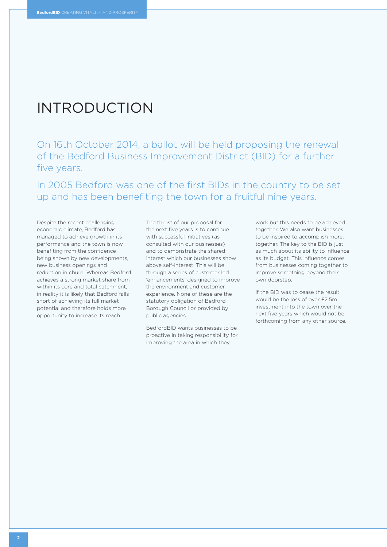### INTRODUCTION

on 16th october 2014, a ballot will be held proposing the renewal of the Bedford Business Improvement District (BID) for a further five years.

In 2005 Bedford was one of the first BIDs in the country to be set up and has been benefiting the town for a fruitful nine years.

Despite the recent challenging economic climate, Bedford has managed to achieve growth in its performance and the town is now benefiting from the confidence being shown by new developments, new business openings and reduction in churn. Whereas Bedford achieves a strong market share from within its core and total catchment, in reality it is likely that Bedford falls short of achieving its full market potential and therefore holds more opportunity to increase its reach.

The thrust of our proposal for the next five years is to continue with successful initiatives (as consulted with our businesses) and to demonstrate the shared interest which our businesses show above self-interest. This will be through a series of customer led 'enhancements' designed to improve the environment and customer experience. None of these are the statutory obligation of Bedford Borough Council or provided by public agencies.

BedfordBid wants businesses to be proactive in taking responsibility for improving the area in which they

work but this needs to be achieved together. We also want businesses to be inspired to accomplish more, together. The key to the BID is just as much about its ability to influence as its budget. This influence comes from businesses coming together to improve something beyond their own doorstep.

If the BID was to cease the result would be the loss of over £2.5m investment into the town over the next five years which would not be forthcoming from any other source.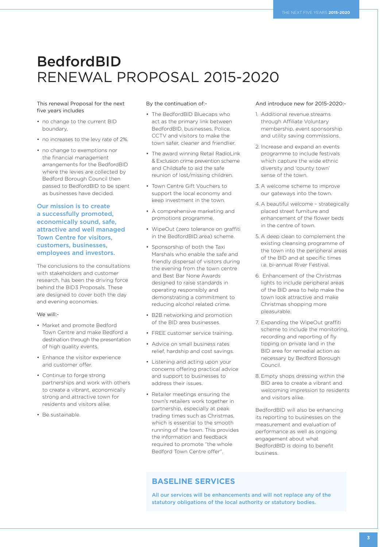# **BedfordBID** RENEWAL PROPOSAL 2015-2020

#### This renewal Proposal for the next five years includes

- no change to the current BID boundary,
- no increases to the levy rate of 2%.
- no change to exemptions nor the financial management arrangements for the BedfordBID where the levies are collected by Bedford Borough Council then passed to BedfordBID to be spent as businesses have decided.

#### **Our mission is to create a successfully promoted, economically sound, safe, attractive and well managed Town Centre for visitors, customers, businesses, employees and investors.**

The conclusions to the consultations with stakeholders and customer research, has been the driving force behind the BID3 Proposals. These are designed to cover both the day and evening economies.

#### We will:-

- Market and promote Bedford Town Centre and make Bedford a destination through the presentation of high quality events.
- Enhance the visitor experience and customer offer.
- Continue to forge strong partnerships and work with others to create a vibrant, economically strong and attractive town for residents and visitors alike.
- Be sustainable.

#### By the continuation of:-

- The BedfordBID Bluecaps who act as the primary link between BedfordBid, businesses, Police, CCTv and visitors to make the town safer, cleaner and friendlier.
- The award winning Retail RadioLink & Exclusion crime prevention scheme and Childsafe to aid the safe reunion of lost/missing children.
- Town Centre Gift Vouchers to support the local economy and keep investment in the town.
- A comprehensive marketing and promotions programme.
- WipeOut (zero tolerance on graffiti in the BedfordBID area) scheme.
- sponsorship of both the Taxi Marshals who enable the safe and friendly dispersal of visitors during the evening from the town centre and Best Bar None Awards designed to raise standards in operating responsibly and demonstrating a commitment to reducing alcohol related crime.
- B2B networking and promotion of the BID area businesses.
- FREE customer service training.
- Advice on small business rates relief, hardship and cost savings.
- Listening and acting upon your concerns offering practical advice and support to businesses to address their issues.
- Retailer meetings ensuring the town's retailers work together in partnership, especially at peak trading times such as Christmas, which is essential to the smooth running of the town. This provides the information and feedback required to promote "the whole Bedford Town Centre offer".

#### And introduce new for 2015-2020:-

- 1. Additional revenue streams through affiliate voluntary membership, event sponsorship and utility saving commissions.
- 2. increase and expand an events programme to include festivals which capture the wide ethnic diversity and 'county town' sense of the town.
- 3. a welcome scheme to improve our gateways into the town.
- 4. A beautiful welcome strategically placed street furniture and enhancement of the flower beds in the centre of town.
- 5. A deep clean to complement the existing cleansing programme of the town into the peripheral areas of the Bid and at specific times i.e. bi-annual River Festival.
- 6. enhancement of the Christmas lights to include peripheral areas of the BID area to help make the town look attractive and make Christmas shopping more pleasurable.
- 7. Expanding the WipeOut graffiti scheme to include the monitoring, recording and reporting of fly tipping on private land in the Bid area for remedial action as necessary by Bedford Borough Council.
- 8. Empty shops dressing within the BID area to create a vibrant and welcoming impression to residents and visitors alike.

BedfordBid will also be enhancing its reporting to businesses on the measurement and evaluation of performance as well as ongoing engagement about what BedfordBid is doing to benefit business.

### **BASELINE SERVICES**

**All our services will be enhancements and will not replace any of the statutory obligations of the local authority or statutory bodies.**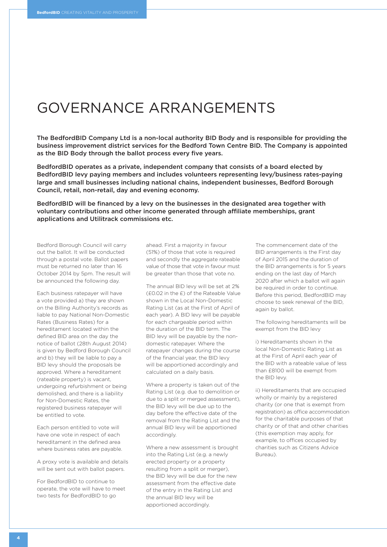### GOVERNANCE ARRANGEMENTS

**The BedfordBID Company Ltd is a non-local authority BID Body and is responsible for providing the business improvement district services for the Bedford Town Centre BID. The Company is appointed as the BID Body through the ballot process every five years.**

**BedfordBID operates as a private, independent company that consists of a board elected by BedfordBID levy paying members and includes volunteers representing levy/business rates-paying large and small businesses including national chains, independent businesses, Bedford Borough Council, retail, non-retail, day and evening economy.**

**BedfordBID will be financed by a levy on the businesses in the designated area together with voluntary contributions and other income generated through affiliate memberships, grant applications and Utilitrack commissions etc.**

Bedford Borough Council will carry out the ballot. it will be conducted through a postal vote. Ballot papers must be returned no later than 16 october 2014 by 5pm. The result will be announced the following day.

Each business ratepayer will have a vote provided a) they are shown on the Billing Authority's records as liable to pay National Non-Domestic Rates (Business Rates) for a hereditament located within the defined BID area on the day the notice of ballot (28th August 2014) is given by Bedford Borough Council and b) they will be liable to pay a BID levy should the proposals be approved. Where a hereditament (rateable property) is vacant, undergoing refurbishment or being demolished, and there is a liability for Non-Domestic Rates, the registered business ratepayer will be entitled to vote.

Each person entitled to vote will have one vote in respect of each hereditament in the defined area where business rates are payable.

a proxy vote is available and details will be sent out with ballot papers.

For BedfordBID to continue to operate, the vote will have to meet two tests for BedfordBID to go

ahead. first a majority in favour (51%) of those that vote is required and secondly the aggregate rateable value of those that vote in favour must be greater than those that vote no.

The annual BID levy will be set at 2% (£0.02 in the £) of the Rateable Value shown in the Local Non-Domestic Rating List (as at the First of April of each year). A BID levy will be payable for each chargeable period within the duration of the BID term. The BID levy will be payable by the nondomestic ratepayer. Where the ratepayer changes during the course of the financial year, the BID levy will be apportioned accordingly and calculated on a daily basis.

Where a property is taken out of the Rating List (e.g. due to demolition or due to a split or merged assessment), the BID levy will be due up to the day before the effective date of the removal from the Rating List and the annual BID levy will be apportioned accordingly.

Where a new assessment is brought into the Rating List (e.g. a newly erected property or a property resulting from a split or merger), the BID levy will be due for the new assessment from the effective date of the entry in the Rating List and the annual BID levy will be apportioned accordingly.

The commencement date of the BID arrangements is the First day of april 2015 and the duration of the BID arrangements is for 5 years ending on the last day of March 2020 after which a ballot will again be required in order to continue. Before this period, BedfordBID may choose to seek renewal of the BID, again by ballot.

The following hereditaments will be exempt from the BID levy

i) Hereditaments shown in the local Non-Domestic Rating List as at the first of april each year of the BID with a rateable value of less than £8100 will be exempt from the BID levy.

ii) Hereditaments that are occupied wholly or mainly by a registered charity (or one that is exempt from registration) as office accommodation for the charitable purposes of that charity or of that and other charities (this exemption may apply, for example, to offices occupied by charities such as Citizens Advice Bureau).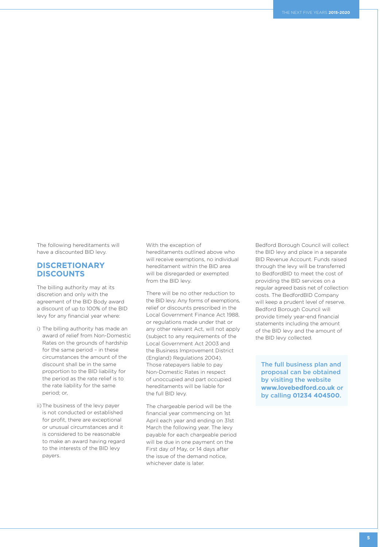The following hereditaments will have a discounted BID levy.

### **DISCRETIONARY DISCOUNTS**

The billing authority may at its discretion and only with the agreement of the BID Body award a discount of up to 100% of the BID levy for any financial year where:

- i) The billing authority has made an award of relief from Non-Domestic Rates on the grounds of hardship for the same period – in these circumstances the amount of the discount shall be in the same proportion to the BID liability for the period as the rate relief is to the rate liability for the same period; or,
- ii)The business of the levy payer is not conducted or established for profit, there are exceptional or unusual circumstances and it is considered to be reasonable to make an award having regard to the interests of the BID levy payers.

With the exception of hereditaments outlined above who will receive exemptions, no individual hereditament within the BID area will be disregarded or exempted from the BID levy.

There will be no other reduction to the BID levy. Any forms of exemptions, relief or discounts prescribed in the Local Government Finance Act 1988, or regulations made under that or any other relevant Act, will not apply (subject to any requirements of the local government act 2003 and the Business Improvement District (England) Regulations 2004). Those ratepayers liable to pay Non-Domestic Rates in respect of unoccupied and part occupied hereditaments will be liable for the full BID levy.

The chargeable period will be the financial year commencing on 1st april each year and ending on 31st March the following year. The levy payable for each chargeable period will be due in one payment on the First day of May, or 14 days after the issue of the demand notice, whichever date is later.

Bedford Borough Council will collect the BID levy and place in a separate BID Revenue Account. Funds raised through the levy will be transferred to BedfordBID to meet the cost of providing the BID services on a regular agreed basis net of collection costs. The BedfordBID Company will keep a prudent level of reserve. Bedford Borough Council will provide timely year-end financial statements including the amount of the BID levy and the amount of the BID levy collected.

**The full business plan and proposal can be obtained by visiting the website www.lovebedford.co.uk or by calling 01234 404500.**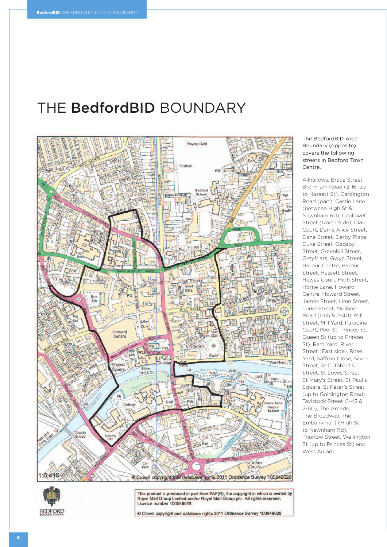## THE **BedfordBID** BOUNDARY



The BedfordBID Area Boundary (opposite) covers the following streets in Bedford Town Centre.

allhallows, Brace street, Bromham Road (2-16, up to Hassett St), Cardington Road (part), Castle Lane (between High St & Newnham Rd), Cauldwell Street (North Side), Clair Court, Dame Alice Street, Dane Street, Derby Place, Duke Street, Gadsby Street, Greenhill Street, Greyfriars, Gwyn Street, harpur Centre, harpur street, hassett street, Hawes Court, High Street, horne lane, howard Centre, howard street, James street, lime street, lurke street, Midland Road (1-65 & 2-40), Mill street, Mill yard, Paradine Court, Peel st, Princes st, Queen st (up to Princes St), Ram Yard, River Street (East side), Rose yard, saffron Close, silver street, st Cuthbert's street, st loyes street, st Mary's street, st Paul's square, st Peter's street (up to Goldington Road). Tavistock street (1-43 & 2-60), The arcade, The Broadway, The Embankment (High St to Newnham Rd), Thurlow street, Wellington st (up to Princes st) and West Arcade.